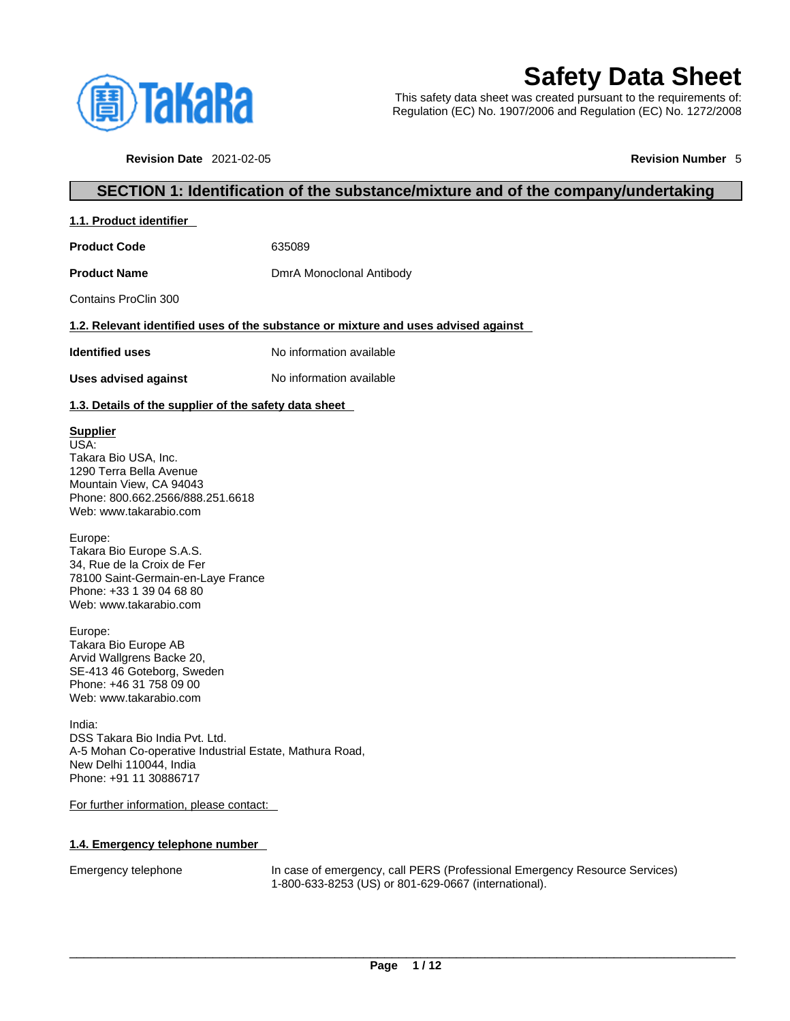

# **Safety Data Sheet**

This safety data sheet was created pursuant to the requirements of: Regulation (EC) No. 1907/2006 and Regulation (EC) No. 1272/2008

**Revision Date** 2021-02-05 **Revision Number** 5

#### **SECTION 1: Identification of the substance/mixture and of the company/undertaking**

**1.1. Product identifier** 

**Product Code** 635089

**Product Name** DmrA Monoclonal Antibody

Contains ProClin 300

#### **1.2. Relevant identified uses of the substance or mixture and uses advised against**

**Identified uses** No information available

**Uses advised against** No information available

#### **1.3. Details of the supplier of the safety data sheet**

#### **Supplier**

USA: Takara Bio USA, Inc. 1290 Terra Bella Avenue Mountain View, CA 94043 Phone: 800.662.2566/888.251.6618 Web: www.takarabio.com

Europe:

Takara Bio Europe S.A.S. 34, Rue de la Croix de Fer 78100 Saint-Germain-en-Laye France Phone: +33 1 39 04 68 80 Web: www.takarabio.com

Europe: Takara Bio Europe AB Arvid Wallgrens Backe 20, SE-413 46 Goteborg, Sweden Phone: +46 31 758 09 00 Web: www.takarabio.com

India: DSS Takara Bio India Pvt. Ltd. A-5 Mohan Co-operative Industrial Estate, Mathura Road, New Delhi 110044, India Phone: +91 11 30886717

For further information, please contact:

#### **1.4. Emergency telephone number**

Emergency telephone In case of emergency, call PERS (Professional Emergency Resource Services) 1-800-633-8253 (US) or 801-629-0667 (international).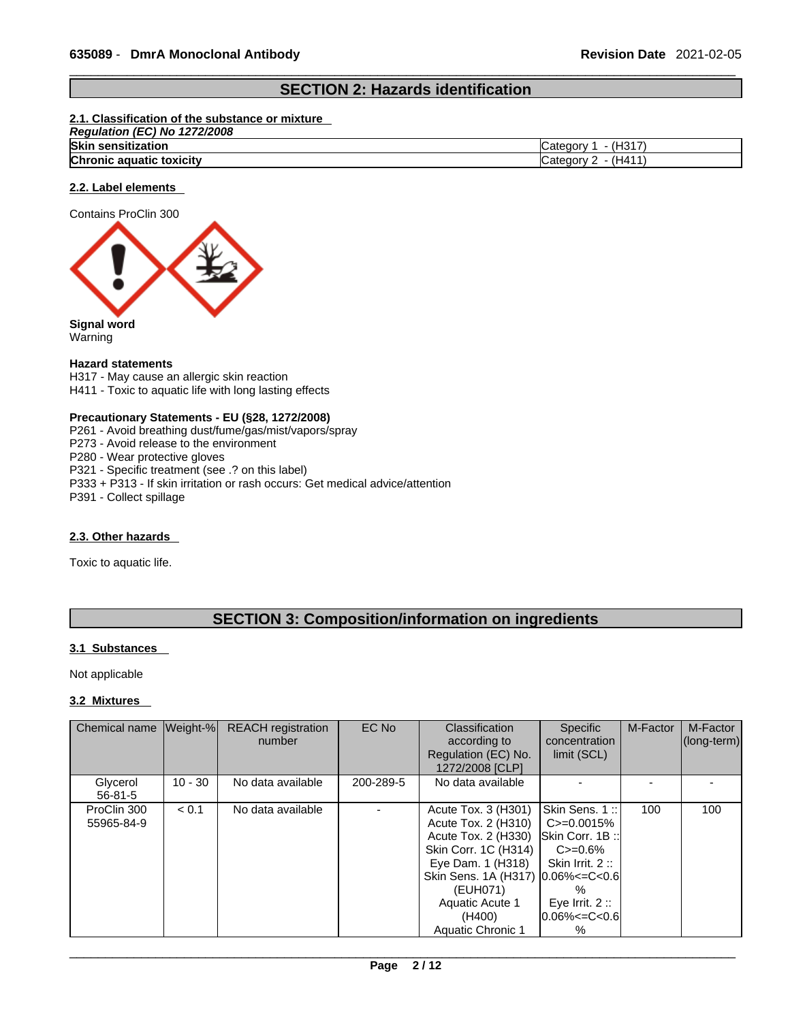### **SECTION 2: Hazards identification**

#### **2.1. Classification of the substance or mixture**

| . (EC) No<br>1272/2008<br>Requiation |                                         |
|--------------------------------------|-----------------------------------------|
| <b>Skin sensitization</b>            | (H <sub>317</sub> )<br><i>⊾</i> ategorٽ |
| Chronic aquatic toxicity             | (H411)<br>′ ategoryب                    |

#### **2.2. Label elements**

Contains ProClin 300



**Signal word** Warning

#### **Hazard statements**

H317 - May cause an allergic skin reaction H411 - Toxic to aquatic life with long lasting effects

#### **Precautionary Statements - EU (§28, 1272/2008)**

- P261 Avoid breathing dust/fume/gas/mist/vapors/spray
- P273 Avoid release to the environment
- P280 Wear protective gloves
- P321 Specific treatment (see .? on this label)
- P333 + P313 If skin irritation or rash occurs: Get medical advice/attention

P391 - Collect spillage

#### **2.3. Other hazards**

Toxic to aquatic life.

### **SECTION 3: Composition/information on ingredients**

#### **3.1 Substances**

Not applicable

#### **3.2 Mixtures**

| Chemical name   Weight-%  |           | <b>REACH</b> registration<br>number | EC No     | <b>Classification</b><br>according to<br>Regulation (EC) No.<br>1272/2008 [CLP]                                                                                                                                               | <b>Specific</b><br>concentration<br>limit (SCL)                                                                                                   | M-Factor | M-Factor<br>(long-term) |
|---------------------------|-----------|-------------------------------------|-----------|-------------------------------------------------------------------------------------------------------------------------------------------------------------------------------------------------------------------------------|---------------------------------------------------------------------------------------------------------------------------------------------------|----------|-------------------------|
| Glycerol<br>$56 - 81 - 5$ | $10 - 30$ | No data available                   | 200-289-5 | No data available                                                                                                                                                                                                             |                                                                                                                                                   |          |                         |
| ProClin 300<br>55965-84-9 | < 0.1     | No data available                   |           | Acute Tox. 3 (H301)<br>Acute Tox. 2 (H310)<br>Acute Tox. 2 (H330)<br>Skin Corr. 1C (H314)<br>Eye Dam. 1 (H318)<br>Skin Sens. 1A (H317) $ 0.06\%<=C<0.6 $<br>(EUH071)<br>Aquatic Acute 1<br>(H400)<br><b>Aquatic Chronic 1</b> | Skin Sens. 1::<br>$C = 0.0015%$<br><b>ISkin Corr. 1B::</b><br>$C = 0.6\%$<br>Skin Irrit. $2::$<br>%<br>Eve Irrit. $2::$<br>l0.06%<=C<0.6l<br>$\%$ | 100      | 100                     |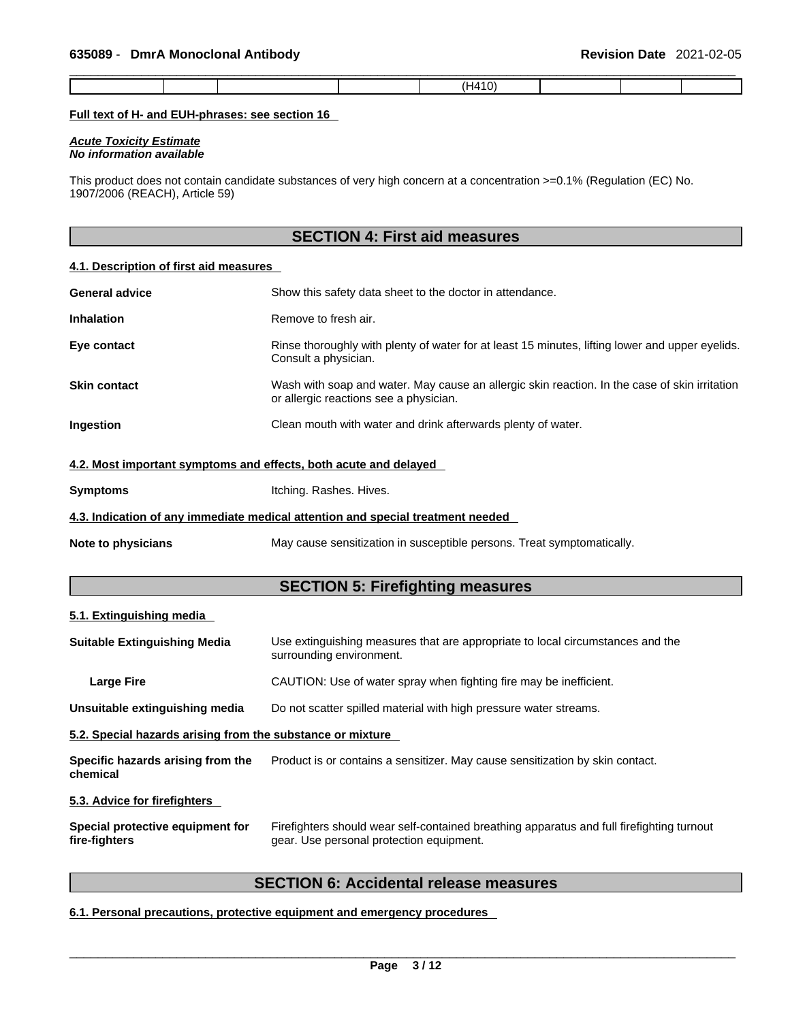|--|--|--|--|--|--|--|--|--|

#### **Full text of H- and EUH-phrases: see section 16**

*Acute Toxicity Estimate No information available* 

This product does not contain candidate substances of very high concern at a concentration >=0.1% (Regulation (EC) No. 1907/2006 (REACH), Article 59)

### **SECTION 4: First aid measures**

#### **4.1. Description of first aid measures**

| <b>General advice</b>                                            | Show this safety data sheet to the doctor in attendance.                                                                                |
|------------------------------------------------------------------|-----------------------------------------------------------------------------------------------------------------------------------------|
| <b>Inhalation</b>                                                | Remove to fresh air.                                                                                                                    |
| Eye contact                                                      | Rinse thoroughly with plenty of water for at least 15 minutes, lifting lower and upper eyelids.<br>Consult a physician.                 |
| <b>Skin contact</b>                                              | Wash with soap and water. May cause an allergic skin reaction. In the case of skin irritation<br>or allergic reactions see a physician. |
| <b>Ingestion</b>                                                 | Clean mouth with water and drink afterwards plenty of water.                                                                            |
| 4.2. Most important symptoms and effects, both acute and delayed |                                                                                                                                         |
| <b>Symptoms</b>                                                  | Itching. Rashes. Hives.                                                                                                                 |

#### **4.3. Indication of any immediate medical attention and special treatment needed**

**Note to physicians** May cause sensitization in susceptible persons. Treat symptomatically.

#### **SECTION 5: Firefighting measures**

#### **5.1. Extinguishing media**

| <b>Suitable Extinguishing Media</b>                        | Use extinguishing measures that are appropriate to local circumstances and the<br>surrounding environment.                            |
|------------------------------------------------------------|---------------------------------------------------------------------------------------------------------------------------------------|
| <b>Large Fire</b>                                          | CAUTION: Use of water spray when fighting fire may be inefficient.                                                                    |
| Unsuitable extinguishing media                             | Do not scatter spilled material with high pressure water streams.                                                                     |
| 5.2. Special hazards arising from the substance or mixture |                                                                                                                                       |
| Specific hazards arising from the<br>chemical              | Product is or contains a sensitizer. May cause sensitization by skin contact.                                                         |
| 5.3. Advice for firefighters                               |                                                                                                                                       |
| Special protective equipment for<br>fire-fighters          | Firefighters should wear self-contained breathing apparatus and full firefighting turnout<br>gear. Use personal protection equipment. |

### **SECTION 6: Accidental release measures**

#### **6.1. Personal precautions, protective equipment and emergency procedures**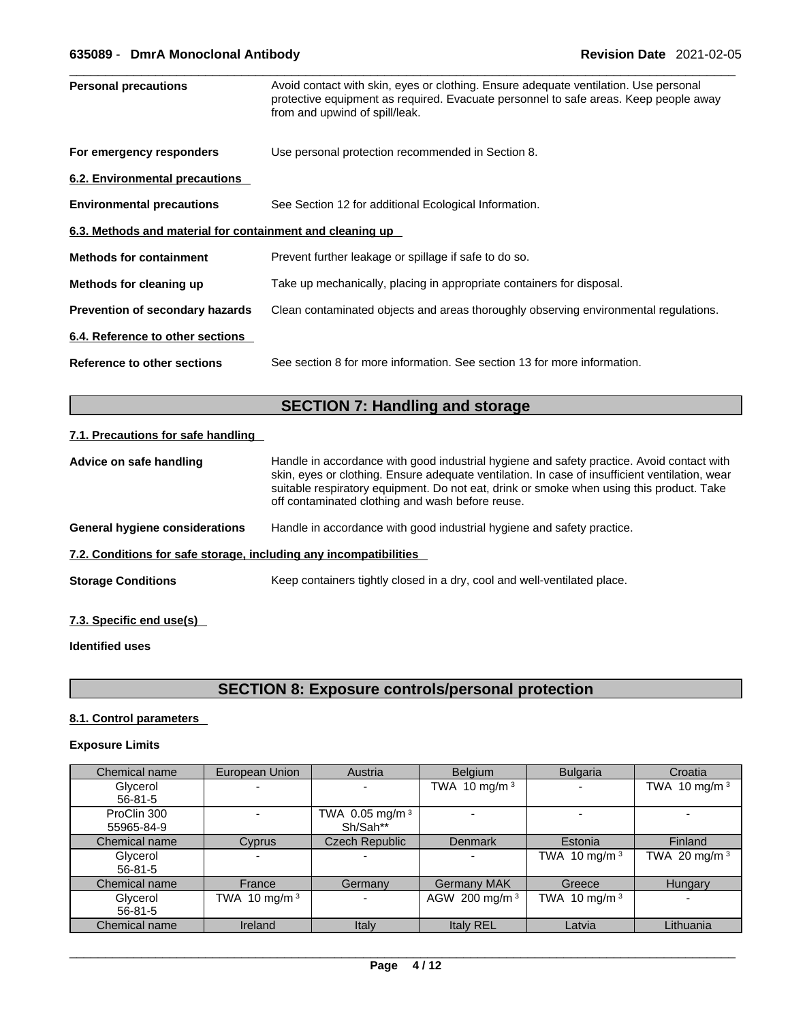| <b>Personal precautions</b>                               | Avoid contact with skin, eyes or clothing. Ensure adequate ventilation. Use personal<br>protective equipment as required. Evacuate personnel to safe areas. Keep people away |
|-----------------------------------------------------------|------------------------------------------------------------------------------------------------------------------------------------------------------------------------------|
|                                                           | from and upwind of spill/leak.                                                                                                                                               |
| For emergency responders                                  | Use personal protection recommended in Section 8.                                                                                                                            |
| 6.2. Environmental precautions                            |                                                                                                                                                                              |
| <b>Environmental precautions</b>                          | See Section 12 for additional Ecological Information.                                                                                                                        |
| 6.3. Methods and material for containment and cleaning up |                                                                                                                                                                              |
| <b>Methods for containment</b>                            | Prevent further leakage or spillage if safe to do so.                                                                                                                        |
| Methods for cleaning up                                   | Take up mechanically, placing in appropriate containers for disposal.                                                                                                        |
| Prevention of secondary hazards                           | Clean contaminated objects and areas thoroughly observing environmental regulations.                                                                                         |
| 6.4. Reference to other sections                          |                                                                                                                                                                              |
| <b>Reference to other sections</b>                        | See section 8 for more information. See section 13 for more information.                                                                                                     |
|                                                           |                                                                                                                                                                              |

### **SECTION 7: Handling and storage**

#### **7.1. Precautions for safe handling**

| Advice on safe handling                                                                                         | Handle in accordance with good industrial hygiene and safety practice. Avoid contact with<br>skin, eyes or clothing. Ensure adequate ventilation. In case of insufficient ventilation, wear<br>suitable respiratory equipment. Do not eat, drink or smoke when using this product. Take<br>off contaminated clothing and wash before reuse. |  |  |  |  |  |
|-----------------------------------------------------------------------------------------------------------------|---------------------------------------------------------------------------------------------------------------------------------------------------------------------------------------------------------------------------------------------------------------------------------------------------------------------------------------------|--|--|--|--|--|
| Handle in accordance with good industrial hygiene and safety practice.<br><b>General hygiene considerations</b> |                                                                                                                                                                                                                                                                                                                                             |  |  |  |  |  |
| 7.2. Conditions for safe storage, including any incompatibilities                                               |                                                                                                                                                                                                                                                                                                                                             |  |  |  |  |  |
| <b>Storage Conditions</b>                                                                                       | Keep containers tightly closed in a dry, cool and well-ventilated place.                                                                                                                                                                                                                                                                    |  |  |  |  |  |
|                                                                                                                 |                                                                                                                                                                                                                                                                                                                                             |  |  |  |  |  |

### **7.3. Specific end use(s)**

### **Identified uses**

### **SECTION 8: Exposure controls/personal protection**

#### **8.1. Control parameters**

#### **Exposure Limits**

| Chemical name | European Union  | Austria                  | <b>Belgium</b>            | <b>Bulgaria</b>          | Croatia         |
|---------------|-----------------|--------------------------|---------------------------|--------------------------|-----------------|
| Glycerol      |                 | $\overline{\phantom{a}}$ | TWA 10 mg/m $3$           | $\overline{\phantom{0}}$ | TWA 10 mg/m $3$ |
| $56 - 81 - 5$ |                 |                          |                           |                          |                 |
| ProClin 300   |                 | TWA 0.05 mg/m 3          |                           |                          |                 |
| 55965-84-9    |                 | Sh/Sah**                 |                           |                          |                 |
| Chemical name | Cyprus          | <b>Czech Republic</b>    | <b>Denmark</b>            | Estonia                  | Finland         |
| Glycerol      |                 | $\overline{\phantom{a}}$ | -                         | TWA 10 mg/m $3$          | TWA 20 mg/m $3$ |
| $56 - 81 - 5$ |                 |                          |                           |                          |                 |
| Chemical name | France          | Germany                  | <b>Germany MAK</b>        | Greece                   | Hungary         |
| Glycerol      | TWA 10 mg/m $3$ | $\overline{\phantom{0}}$ | AGW 200 mg/m <sup>3</sup> | TWA 10 mg/m $3$          |                 |
| $56 - 81 - 5$ |                 |                          |                           |                          |                 |
| Chemical name | Ireland         | Italy                    | <b>Italy REL</b>          | Latvia                   | Lithuania       |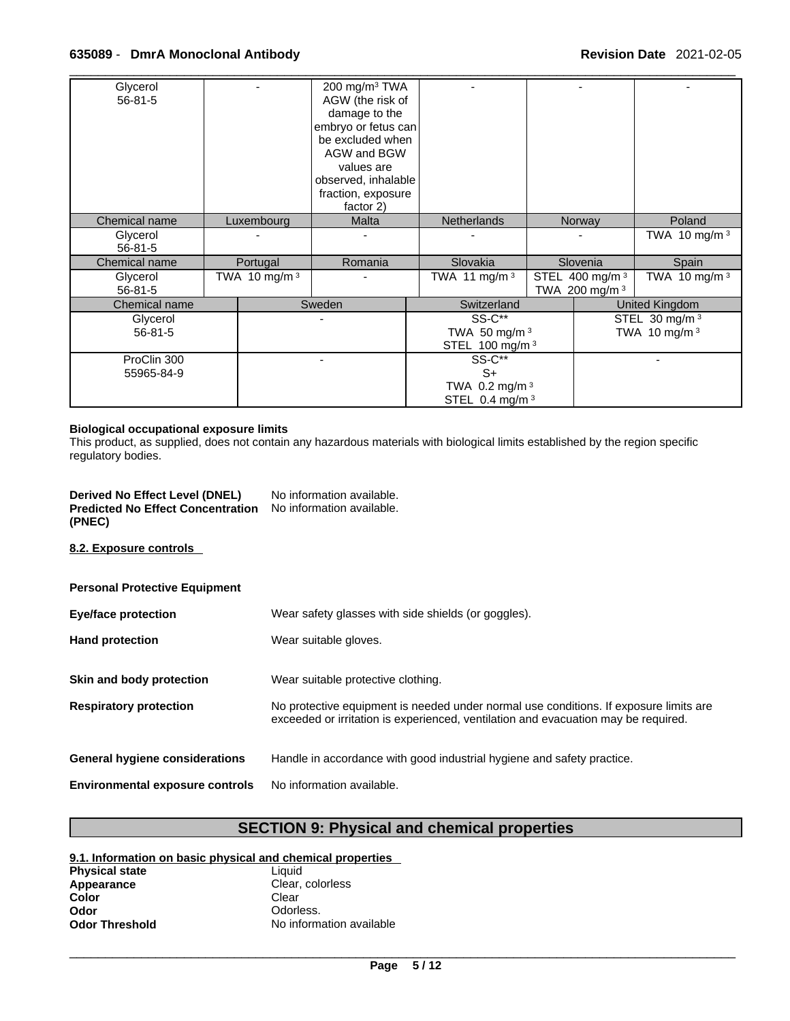| Glycerol      |                 | 200 mg/m <sup>3</sup> TWA |                            |                            |                           |                           |  |
|---------------|-----------------|---------------------------|----------------------------|----------------------------|---------------------------|---------------------------|--|
| $56 - 81 - 5$ |                 | AGW (the risk of          |                            |                            |                           |                           |  |
|               |                 | damage to the             |                            |                            |                           |                           |  |
|               |                 | embryo or fetus can       |                            |                            |                           |                           |  |
|               |                 | be excluded when          |                            |                            |                           |                           |  |
|               |                 | AGW and BGW               |                            |                            |                           |                           |  |
|               |                 | values are                |                            |                            |                           |                           |  |
|               |                 | observed, inhalable       |                            |                            |                           |                           |  |
|               |                 | fraction, exposure        |                            |                            |                           |                           |  |
|               |                 | factor 2)                 |                            |                            |                           |                           |  |
| Chemical name | Luxembourg      | Malta                     | <b>Netherlands</b>         |                            | Norway                    | Poland                    |  |
| Glycerol      |                 |                           |                            |                            |                           | TWA 10 mg/m $3$           |  |
| $56 - 81 - 5$ |                 |                           |                            |                            |                           |                           |  |
| Chemical name | Portugal        | Romania                   | Slovakia                   |                            | Slovenia                  | Spain                     |  |
| Glycerol      | TWA 10 mg/m $3$ |                           | TWA 11 mg/m 3              | STEL 400 mg/m <sup>3</sup> |                           | TWA 10 mg/m $3$           |  |
| $56 - 81 - 5$ |                 |                           |                            |                            | TWA 200 mg/m <sup>3</sup> |                           |  |
| Chemical name |                 | Sweden                    | Switzerland                |                            |                           | United Kingdom            |  |
| Glycerol      |                 |                           | <b>SS-C**</b>              |                            |                           | STEL 30 mg/m <sup>3</sup> |  |
| $56 - 81 - 5$ |                 |                           | TWA 50 mg/m $3$            |                            |                           | TWA 10 mg/m $3$           |  |
|               |                 |                           | STEL 100 mg/m 3            |                            |                           |                           |  |
| ProClin 300   |                 |                           | SS-C**                     |                            |                           |                           |  |
| 55965-84-9    |                 |                           | $S+$                       |                            |                           |                           |  |
|               |                 |                           | TWA 0.2 mg/m $3$           |                            |                           |                           |  |
|               |                 |                           | STEL 0.4 mg/m <sup>3</sup> |                            |                           |                           |  |
|               |                 |                           |                            |                            |                           |                           |  |

#### **Biological occupational exposure limits**

This product, as supplied, does not contain any hazardous materials with biological limits established by the region specific regulatory bodies.

| Derived No Effect Level (DNEL)           | No information available. |
|------------------------------------------|---------------------------|
| <b>Predicted No Effect Concentration</b> | No information available. |
| (PNEC)                                   |                           |

#### **8.2. Exposure controls**

| <b>Personal Protective Equipment</b>   |                                                                                                                                                                             |
|----------------------------------------|-----------------------------------------------------------------------------------------------------------------------------------------------------------------------------|
| <b>Eye/face protection</b>             | Wear safety glasses with side shields (or goggles).                                                                                                                         |
| <b>Hand protection</b>                 | Wear suitable gloves.                                                                                                                                                       |
|                                        |                                                                                                                                                                             |
| Skin and body protection               | Wear suitable protective clothing.                                                                                                                                          |
| <b>Respiratory protection</b>          | No protective equipment is needed under normal use conditions. If exposure limits are<br>exceeded or irritation is experienced, ventilation and evacuation may be required. |
| <b>General hygiene considerations</b>  | Handle in accordance with good industrial hygiene and safety practice.                                                                                                      |
| <b>Environmental exposure controls</b> | No information available.                                                                                                                                                   |

### **SECTION 9: Physical and chemical properties**

#### **9.1. Information on basic physical and chemical properties**

| <b>Physical state</b> | Liauid                   |
|-----------------------|--------------------------|
| Appearance            | Clear, colorless         |
| Color                 | Clear                    |
| Odor                  | Odorless.                |
| <b>Odor Threshold</b> | No information available |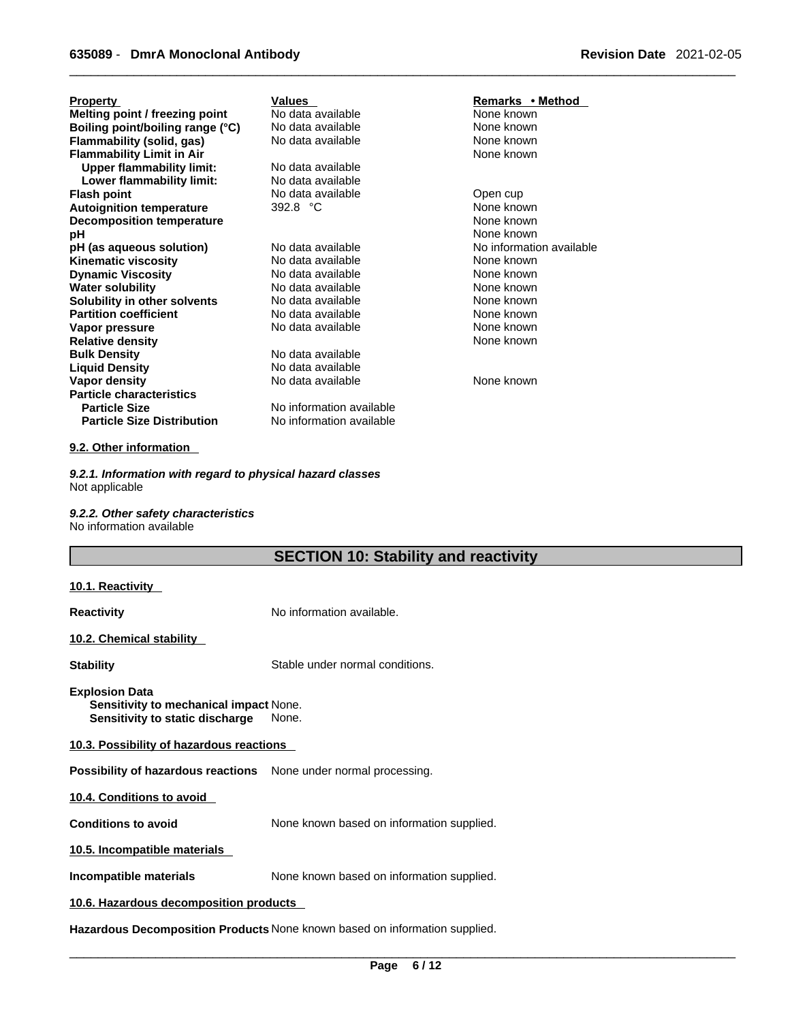| <b>Property</b>                   | Values                   | Remarks • Method         |
|-----------------------------------|--------------------------|--------------------------|
| Melting point / freezing point    | No data available        | None known               |
| Boiling point/boiling range (°C)  | No data available        | None known               |
| Flammability (solid, gas)         | No data available        | None known               |
| <b>Flammability Limit in Air</b>  |                          | None known               |
| <b>Upper flammability limit:</b>  | No data available        |                          |
| Lower flammability limit:         | No data available        |                          |
| <b>Flash point</b>                | No data available        | Open cup                 |
| <b>Autoignition temperature</b>   | 392.8 °C                 | None known               |
| <b>Decomposition temperature</b>  |                          | None known               |
| рH                                |                          | None known               |
| pH (as aqueous solution)          | No data available        | No information available |
| Kinematic viscosity               | No data available        | None known               |
| <b>Dynamic Viscosity</b>          | No data available        | None known               |
| <b>Water solubility</b>           | No data available        | None known               |
| Solubility in other solvents      | No data available        | None known               |
| <b>Partition coefficient</b>      | No data available        | None known               |
| Vapor pressure                    | No data available        | None known               |
| <b>Relative density</b>           |                          | None known               |
| <b>Bulk Density</b>               | No data available        |                          |
| <b>Liquid Density</b>             | No data available        |                          |
| Vapor density                     | No data available        | None known               |
| <b>Particle characteristics</b>   |                          |                          |
| <b>Particle Size</b>              | No information available |                          |
| <b>Particle Size Distribution</b> | No information available |                          |

#### **9.2. Other information**

*9.2.1. Information with regard to physical hazard classes* Not applicable

*9.2.2. Other safety characteristics* No information available

## **SECTION 10: Stability and reactivity**

| <u> 10.1. Reactivity </u>                                                                          |                                           |  |  |
|----------------------------------------------------------------------------------------------------|-------------------------------------------|--|--|
| Reactivity                                                                                         | No information available.                 |  |  |
| 10.2. Chemical stability                                                                           |                                           |  |  |
| <b>Stability</b>                                                                                   | Stable under normal conditions.           |  |  |
| <b>Explosion Data</b><br>Sensitivity to mechanical impact None.<br>Sensitivity to static discharge | None.                                     |  |  |
| 10.3. Possibility of hazardous reactions                                                           |                                           |  |  |
| <b>Possibility of hazardous reactions</b> None under normal processing.                            |                                           |  |  |
| 10.4. Conditions to avoid                                                                          |                                           |  |  |
| <b>Conditions to avoid</b>                                                                         | None known based on information supplied. |  |  |
| 10.5. Incompatible materials                                                                       |                                           |  |  |
| Incompatible materials                                                                             | None known based on information supplied. |  |  |
| 10.6. Hazardous decomposition products                                                             |                                           |  |  |
| Hazardous Decomposition Products None known based on information supplied.                         |                                           |  |  |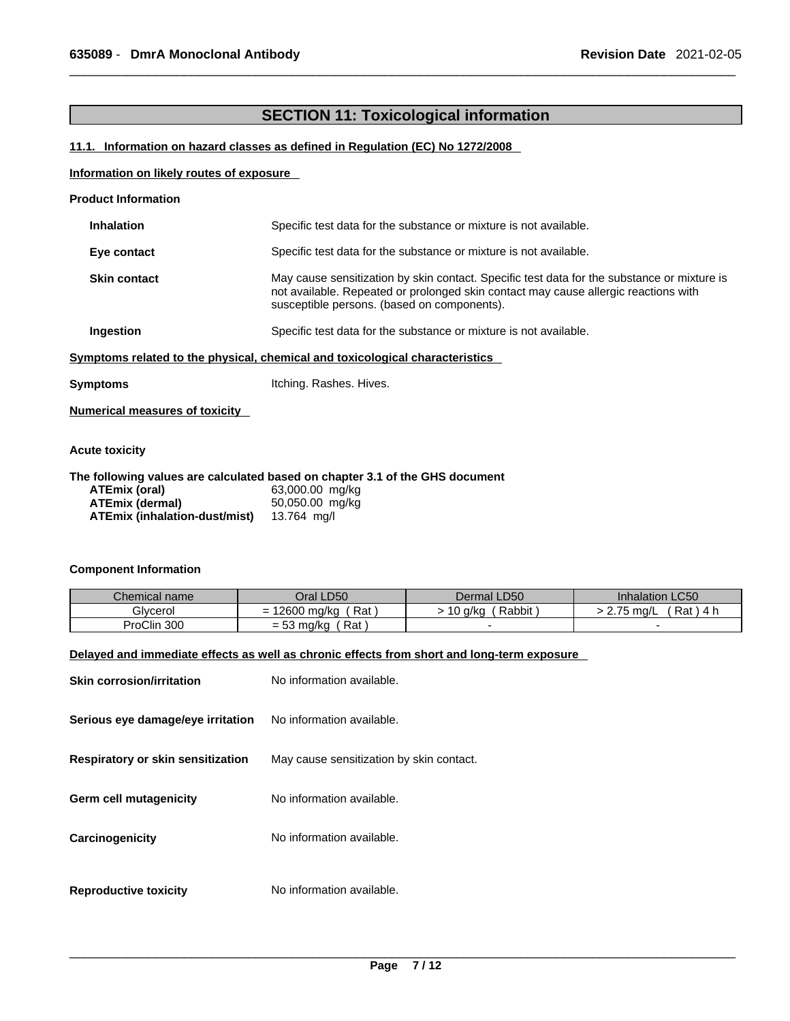### **SECTION 11: Toxicological information**

#### **11.1. Information on hazard classes as defined in Regulation (EC) No 1272/2008**

#### **Information on likely routes of exposure**

| <b>Product Information</b> |  |
|----------------------------|--|
|----------------------------|--|

| <b>Inhalation</b>   | Specific test data for the substance or mixture is not available.                                                                                                                                                                 |
|---------------------|-----------------------------------------------------------------------------------------------------------------------------------------------------------------------------------------------------------------------------------|
| Eye contact         | Specific test data for the substance or mixture is not available.                                                                                                                                                                 |
| <b>Skin contact</b> | May cause sensitization by skin contact. Specific test data for the substance or mixture is<br>not available. Repeated or prolonged skin contact may cause allergic reactions with<br>susceptible persons. (based on components). |
| Ingestion           | Specific test data for the substance or mixture is not available.                                                                                                                                                                 |
|                     | Symptoms related to the physical, chemical and toxicological characteristics                                                                                                                                                      |
|                     |                                                                                                                                                                                                                                   |

| Symptoms | Itching. Rashes. Hives. |
|----------|-------------------------|
|          |                         |

**Numerical measures of toxicity**

#### **Acute toxicity**

#### **The following values are calculated based on chapter 3.1 of the GHS document ATEmix (oral)** 63,000.00 mg/kg **ATEmix (dermal)** 50,050.00 m<br>**ATEmix (inhalation-dust/mist)** 13.764 mg/l **ATEmix (inhalation-dust/mist)**

#### **Component Information**

| Chemical name | Oral LD50                                                | Dermal LD50       | <b>Inhalation LC50</b>      |
|---------------|----------------------------------------------------------|-------------------|-----------------------------|
| Glvcerol      | Rat<br>12600<br>J ma/ka<br>-<br>$\overline{\phantom{0}}$ | Rabbit<br>.0 a/kc | Rat<br>ma/L<br>$.4^{\circ}$ |
| ProClin 300   | Rat .<br>= 53 mg/kg                                      |                   |                             |

#### **Delayed and immediate effects as well as chronic effects from short and long-term exposure**

| <b>Skin corrosion/irritation</b>  | No information available.                |
|-----------------------------------|------------------------------------------|
| Serious eye damage/eye irritation | No information available.                |
| Respiratory or skin sensitization | May cause sensitization by skin contact. |
| <b>Germ cell mutagenicity</b>     | No information available.                |
| Carcinogenicity                   | No information available.                |
| <b>Reproductive toxicity</b>      | No information available.                |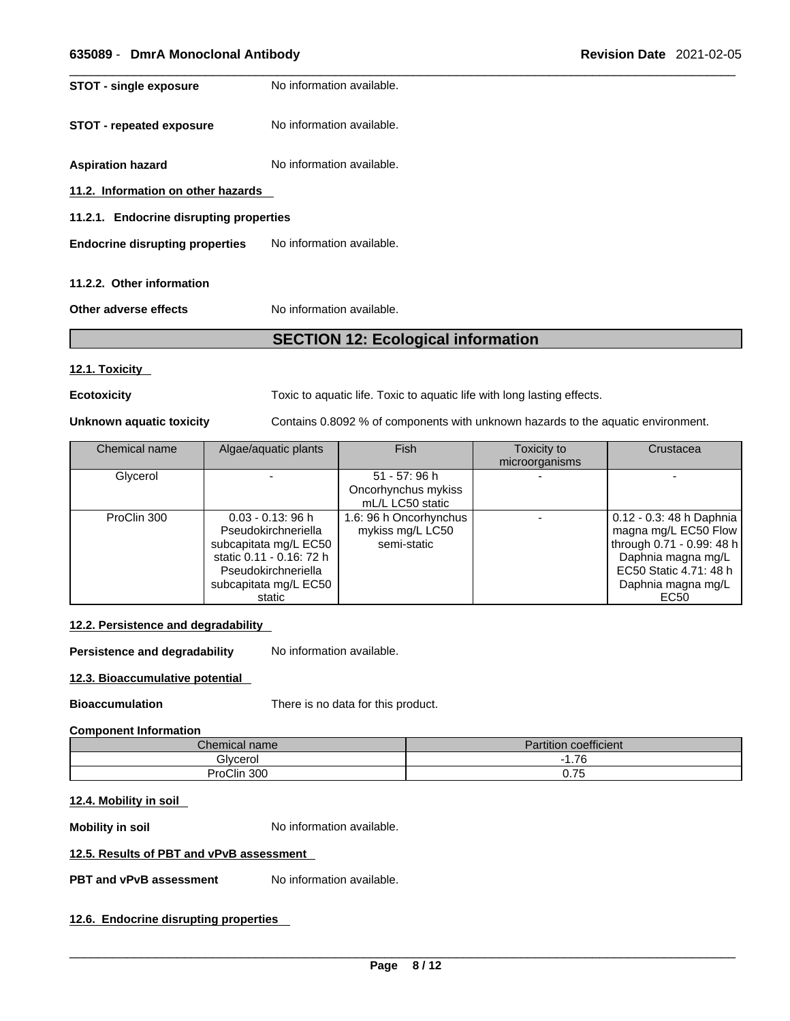**STOT** - **single exposure** No information available.

**STOT** - **repeated exposure** No information available.

**Aspiration hazard** No information available.

**11.2. Information on other hazards** 

**11.2.1. Endocrine disrupting properties**

**Endocrine disrupting properties** No information available.

#### **11.2.2. Other information**

**Other adverse effects** No information available.

### **SECTION 12: Ecological information**

#### **12.1. Toxicity**

**Ecotoxicity Toxic to aquatic life. Toxic to aquatic life with long lasting effects.** 

**Unknown aquatic toxicity** Contains 0.8092 % of components with unknown hazards to the aquatic environment.

| Chemical name | Algae/aquatic plants                                                                                                                                       | Fish                                                      | Toxicity to<br>microorganisms | Crustacea                                                                                                                                                     |
|---------------|------------------------------------------------------------------------------------------------------------------------------------------------------------|-----------------------------------------------------------|-------------------------------|---------------------------------------------------------------------------------------------------------------------------------------------------------------|
| Glycerol      |                                                                                                                                                            | 51 - 57: 96 h<br>Oncorhynchus mykiss<br>mL/L LC50 static  |                               |                                                                                                                                                               |
| ProClin 300   | $0.03 - 0.13$ : 96 h<br>Pseudokirchneriella<br>subcapitata mg/L EC50<br>static 0.11 - 0.16: 72 h<br>Pseudokirchneriella<br>subcapitata mg/L EC50<br>static | 1.6: 96 h Oncorhynchus<br>mykiss mg/L LC50<br>semi-static |                               | 0.12 - 0.3: 48 h Daphnia  <br>magna mg/L EC50 Flow<br>through 0.71 - 0.99: 48 h<br>Daphnia magna mg/L<br>EC50 Static 4.71: 48 h<br>Daphnia magna mg/L<br>EC50 |

#### **12.2. Persistence and degradability**

**Persistence and degradability** No information available.

#### **12.3. Bioaccumulative potential**

**Bioaccumulation** There is no data for this product.

#### **Component Information**

| $\sim$<br>$\mathcal L$ hemical name | $\cdots$<br>1.111<br>⊧coefficient<br>'artıtıon |
|-------------------------------------|------------------------------------------------|
| Glycerol                            | .76                                            |
| ProClin 300                         | $\overline{\phantom{a}}$<br>v. 1 J             |

#### **12.4. Mobility in soil**

**Mobility in soil Mobility in soil No** information available.

#### **12.5. Results of PBT and vPvB assessment**

**PBT** and **vPvB** assessment No information available.

#### **12.6. Endocrine disrupting properties**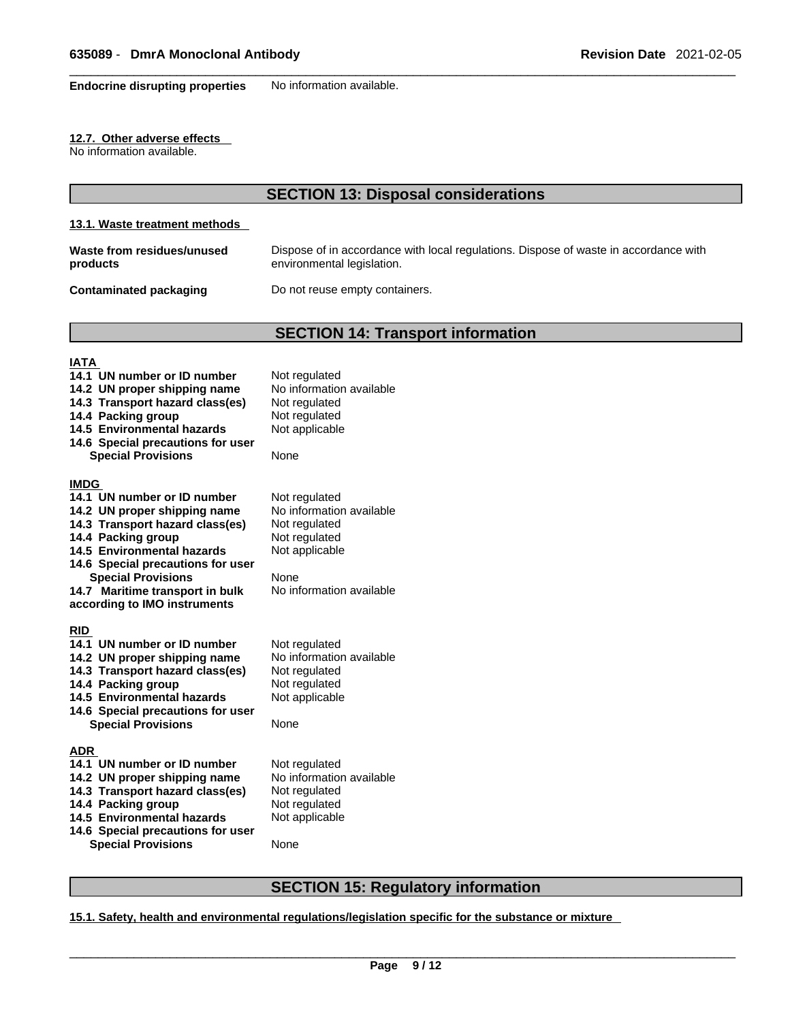**Endocrine disrupting properties** No information available.

#### **12.7. Other adverse effects**

No information available.

### **SECTION 13: Disposal considerations**

#### **13.1. Waste treatment methods**

| Waste from residues/unused | Dispose of in accordance with local regulations. Dispose of waste in accordance with |
|----------------------------|--------------------------------------------------------------------------------------|
| products                   | environmental legislation.                                                           |
|                            |                                                                                      |

**Contaminated packaging** Do not reuse empty containers.

### **SECTION 14: Transport information**

#### **IATA**

| 14.1 UN number or ID number<br>14.2 UN proper shipping name<br>14.3 Transport hazard class(es)<br>14.4 Packing group<br>14.5 Environmental hazards<br>14.6 Special precautions for user<br><b>Special Provisions</b>                                                                                   | Not regulated<br>No information available<br>Not regulated<br>Not regulated<br>Not applicable<br>None                             |
|--------------------------------------------------------------------------------------------------------------------------------------------------------------------------------------------------------------------------------------------------------------------------------------------------------|-----------------------------------------------------------------------------------------------------------------------------------|
| <b>IMDG</b><br>14.1 UN number or ID number<br>14.2 UN proper shipping name<br>14.3 Transport hazard class(es)<br>14.4 Packing group<br>14.5 Environmental hazards<br>14.6 Special precautions for user<br><b>Special Provisions</b><br>14.7 Maritime transport in bulk<br>according to IMO instruments | Not regulated<br>No information available<br>Not regulated<br>Not regulated<br>Not applicable<br>None<br>No information available |
| <b>RID</b><br>14.1 UN number or ID number<br>14.2 UN proper shipping name<br>14.3 Transport hazard class(es)<br>14.4 Packing group<br><b>14.5 Environmental hazards</b><br>14.6 Special precautions for user<br><b>Special Provisions</b>                                                              | Not regulated<br>No information available<br>Not regulated<br>Not regulated<br>Not applicable<br>None                             |
| ADR<br>14.1 UN number or ID number<br>14.2 UN proper shipping name<br>14.3 Transport hazard class(es)<br>14.4 Packing group<br>14.5 Environmental hazards<br>14.6 Special precautions for user<br><b>Special Provisions</b>                                                                            | Not regulated<br>No information available<br>Not regulated<br>Not regulated<br>Not applicable<br>None                             |

### **SECTION 15: Regulatory information**

#### **15.1. Safety, health and environmental regulations/legislation specific for the substance or mixture**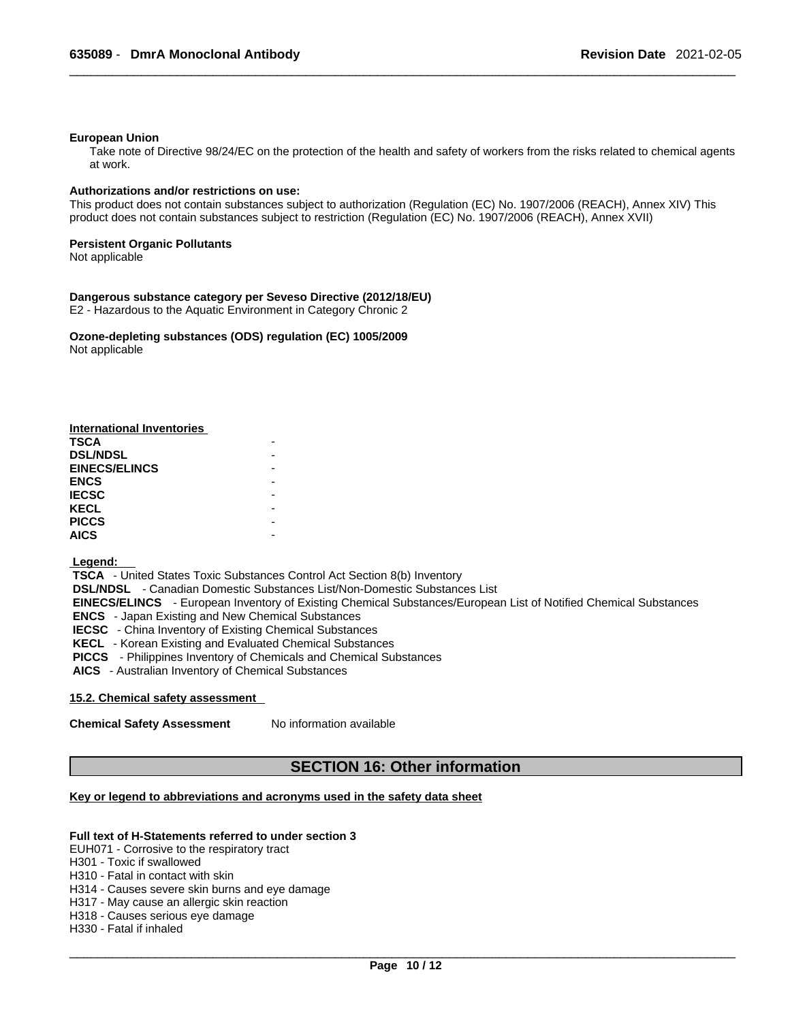#### **European Union**

Take note of Directive 98/24/EC on the protection of the health and safety of workers from the risks related to chemical agents at work.

#### **Authorizations and/or restrictions on use:**

This product does not contain substances subject to authorization (Regulation (EC) No. 1907/2006 (REACH), Annex XIV) This product does not contain substances subject to restriction (Regulation (EC) No. 1907/2006 (REACH), Annex XVII)

#### **Persistent Organic Pollutants**

Not applicable

#### **Dangerous substance category per Seveso Directive (2012/18/EU)**

E2 - Hazardous to the Aquatic Environment in Category Chronic 2

**Ozone-depleting substances (ODS) regulation (EC) 1005/2009** Not applicable

| <b>International Inventories</b> |  |
|----------------------------------|--|
| <b>TSCA</b>                      |  |
| <b>DSL/NDSL</b>                  |  |
| <b>EINECS/ELINCS</b>             |  |
| <b>ENCS</b>                      |  |
| <b>IECSC</b>                     |  |
| <b>KECL</b>                      |  |
| <b>PICCS</b>                     |  |
| <b>AICS</b>                      |  |

#### **Legend:**

 **TSCA** - United States Toxic Substances Control Act Section 8(b) Inventory  **DSL/NDSL** - Canadian Domestic Substances List/Non-Domestic Substances List  **EINECS/ELINCS** - European Inventory of Existing Chemical Substances/European List of Notified Chemical Substances  **ENCS** - Japan Existing and New Chemical Substances  **IECSC** - China Inventory of Existing Chemical Substances  **KECL** - Korean Existing and Evaluated Chemical Substances  **PICCS** - Philippines Inventory of Chemicals and Chemical Substances  **AICS** - Australian Inventory of Chemical Substances

#### **15.2. Chemical safety assessment**

**Chemical Safety Assessment** No information available

#### **SECTION 16: Other information**

#### **Key or legend to abbreviations and acronyms used in the safety data sheet**

#### **Full text of H-Statements referred to undersection 3**

EUH071 - Corrosive to the respiratory tract

- H301 Toxic if swallowed
- H310 Fatal in contact with skin
- H314 Causes severe skin burns and eye damage
- H317 May cause an allergic skin reaction
- H318 Causes serious eye damage
- H330 Fatal if inhaled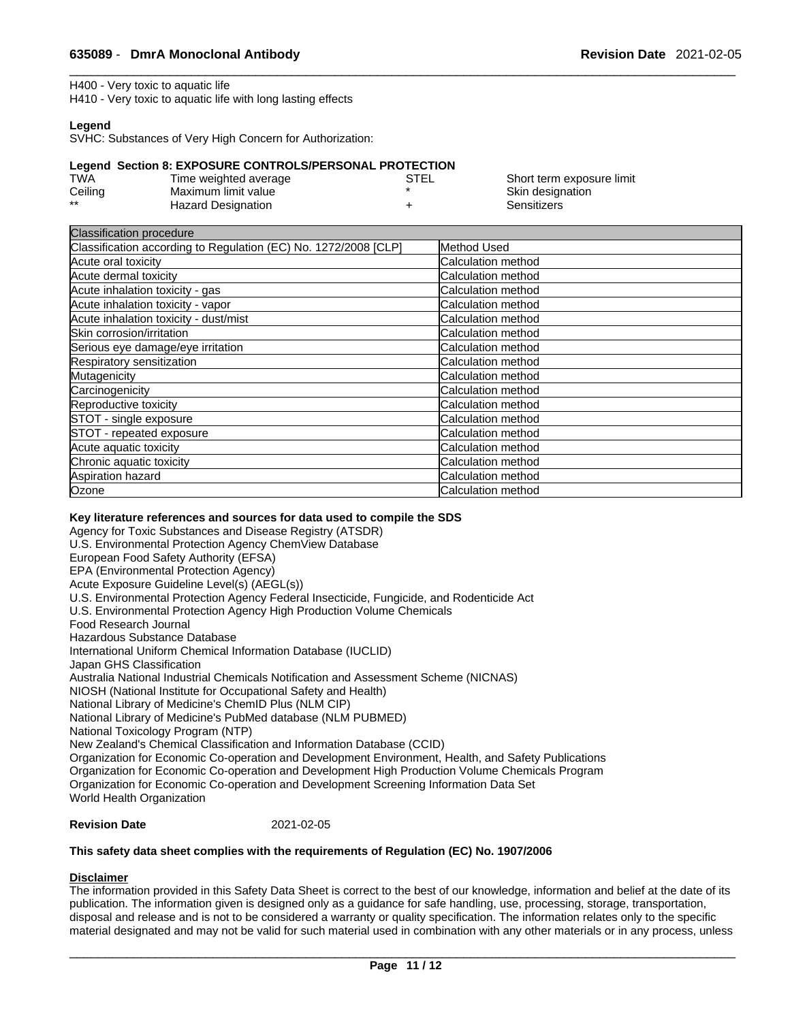Short term exposure limit Skin designation

**Sensitizers** 

H400 - Very toxic to aquatic life

H410 - Very toxic to aquatic life with long lasting effects

#### **Legend**

SVHC: Substances of Very High Concern for Authorization:

#### **Legend Section 8: EXPOSURE CONTROLS/PERSONAL PROTECTION**

| TWA     | Time weighted average     | STEL |
|---------|---------------------------|------|
| Ceiling | Maximum limit value       |      |
| **      | <b>Hazard Designation</b> |      |

| Classification procedure                                        |                           |
|-----------------------------------------------------------------|---------------------------|
| Classification according to Regulation (EC) No. 1272/2008 [CLP] | Method Used               |
| Acute oral toxicity                                             | Calculation method        |
| Acute dermal toxicity                                           | Calculation method        |
| Acute inhalation toxicity - gas                                 | Calculation method        |
| Acute inhalation toxicity - vapor                               | Calculation method        |
| Acute inhalation toxicity - dust/mist                           | Calculation method        |
| Skin corrosion/irritation                                       | Calculation method        |
| Serious eye damage/eye irritation                               | Calculation method        |
| Respiratory sensitization                                       | Calculation method        |
| Mutagenicity                                                    | Calculation method        |
| Carcinogenicity                                                 | <b>Calculation method</b> |
| Reproductive toxicity                                           | Calculation method        |
| STOT - single exposure                                          | Calculation method        |
| STOT - repeated exposure                                        | Calculation method        |
| Acute aquatic toxicity                                          | Calculation method        |
| Chronic aquatic toxicity                                        | Calculation method        |
| Aspiration hazard                                               | Calculation method        |
| Ozone                                                           | Calculation method        |

#### **Key literature references and sources for data used to compile the SDS**

Agency for Toxic Substances and Disease Registry (ATSDR)

U.S. Environmental Protection Agency ChemView Database

European Food Safety Authority (EFSA)

EPA (Environmental Protection Agency) Acute Exposure Guideline Level(s) (AEGL(s))

U.S. Environmental Protection Agency Federal Insecticide, Fungicide, and Rodenticide Act

U.S. Environmental Protection Agency High Production Volume Chemicals

Food Research Journal

Hazardous Substance Database

International Uniform Chemical Information Database (IUCLID)

Japan GHS Classification

Australia National Industrial Chemicals Notification and Assessment Scheme (NICNAS)

NIOSH (National Institute for Occupational Safety and Health)

National Library of Medicine's ChemID Plus (NLM CIP)

National Library of Medicine's PubMed database (NLM PUBMED)

National Toxicology Program (NTP)

New Zealand's Chemical Classification and Information Database (CCID)

Organization for Economic Co-operation and Development Environment, Health, and Safety Publications

Organization for Economic Co-operation and Development High Production Volume Chemicals Program

Organization for Economic Co-operation and Development Screening Information Data Set

World Health Organization

**Revision Date** 2021-02-05

#### **This safety data sheet complies with the requirements of Regulation (EC) No. 1907/2006**

#### **Disclaimer**

The information provided in this Safety Data Sheet is correct to the best of our knowledge, information and belief at the date of its publication. The information given is designed only as a guidance for safe handling, use, processing, storage, transportation, disposal and release and is not to be considered a warranty or quality specification. The information relates only to the specific material designated and may not be valid for such material used in combination with any other materials or in any process, unless